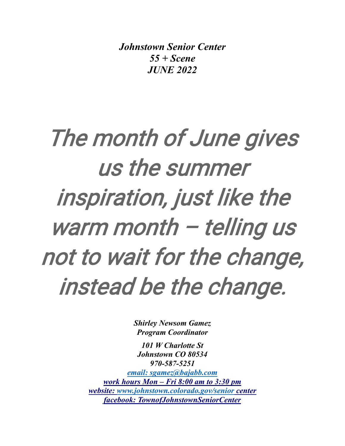*Johnstown Senior Center 55 + Scene JUNE 2022*

# The month of June gives us the summer inspiration, just like the warm month - telling us not to wait for the change, instead be the change.

*Shirley Newsom Gamez Program Coordinator*

*101 W Charlotte St Johnstown CO 80534 970-587-5251 [email: sgamez@bajabb.com](mailto:email:%20sgamez@bajabb.com) work hours Mon – Fri 8:00 am to 3:30 pm website: [www.johnstown.colorado.gov/senior](http://www.johnstown.colorado.gov/senior) center facebook: TownofJohnstownSeniorCenter*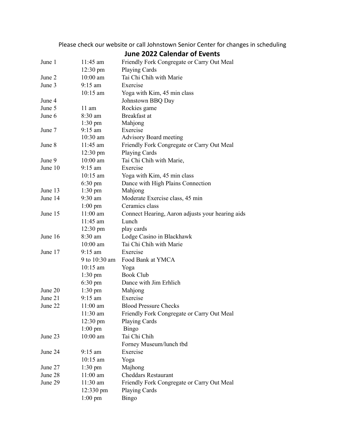Please check our website or call Johnstown Senior Center for changes in scheduling

|         |                    | <b>June 2022 Calendar of Events</b>              |
|---------|--------------------|--------------------------------------------------|
| June 1  | 11:45 am           | Friendly Fork Congregate or Carry Out Meal       |
|         | $12:30 \text{ pm}$ | <b>Playing Cards</b>                             |
| June 2  | $10:00$ am         | Tai Chi Chih with Marie                          |
| June 3  | $9:15$ am          | Exercise                                         |
|         | $10:15$ am         | Yoga with Kim, 45 min class                      |
| June 4  |                    | Johnstown BBQ Day                                |
| June 5  | $11 \text{ am}$    | Rockies game                                     |
| June 6  | 8:30 am            | Breakfast at                                     |
|         | $1:30 \text{ pm}$  | Mahjong                                          |
| June 7  | $9:15$ am          | Exercise                                         |
|         | $10:30$ am         | <b>Advisory Board meeting</b>                    |
| June 8  | $11:45$ am         | Friendly Fork Congregate or Carry Out Meal       |
|         | $12:30 \text{ pm}$ | Playing Cards                                    |
| June 9  | $10:00$ am         | Tai Chi Chih with Marie,                         |
| June 10 | $9:15 \text{ am}$  | Exercise                                         |
|         | $10:15$ am         | Yoga with Kim, 45 min class                      |
|         | $6:30 \text{ pm}$  | Dance with High Plains Connection                |
| June 13 | $1:30 \text{ pm}$  | Mahjong                                          |
| June 14 | $9:30$ am          | Moderate Exercise class, 45 min                  |
|         | $1:00 \text{ pm}$  | Ceramics class                                   |
| June 15 | $11:00$ am         | Connect Hearing, Aaron adjusts your hearing aids |
|         | 11:45 am           | Lunch                                            |
|         | $12:30 \text{ pm}$ | play cards                                       |
| June 16 | 8:30 am            | Lodge Casino in Blackhawk                        |
|         | $10:00$ am         | Tai Chi Chih with Marie                          |
| June 17 | $9:15$ am          | Exercise                                         |
|         |                    | 9 to 10:30 am Food Bank at YMCA                  |
|         | $10:15$ am         | Yoga                                             |
|         | $1:30 \text{ pm}$  | <b>Book Club</b>                                 |
|         | $6:30 \text{ pm}$  | Dance with Jim Erhlich                           |
| June 20 | $1:30 \text{ pm}$  | Mahjong                                          |
| June 21 | $9:15$ am          | Exercise                                         |
| June 22 | 11:00 am           | <b>Blood Pressure Checks</b>                     |
|         | 11:30 am           | Friendly Fork Congregate or Carry Out Meal       |
|         | $12:30 \text{ pm}$ | Playing Cards                                    |
|         | $1:00$ pm          | Bingo                                            |
| June 23 | $10:00$ am         | Tai Chi Chih                                     |
|         |                    | Forney Museum/lunch tbd                          |
| June 24 | $9:15$ am          | Exercise                                         |
|         | $10:15$ am         | Yoga                                             |
| June 27 | $1:30 \text{ pm}$  | Majhong                                          |
| June 28 | $11:00$ am         | <b>Cheddars Restaurant</b>                       |
| June 29 | 11:30 am           | Friendly Fork Congregate or Carry Out Meal       |
|         | 12:330 pm          | Playing Cards                                    |
|         | $1:00$ pm          | <b>Bingo</b>                                     |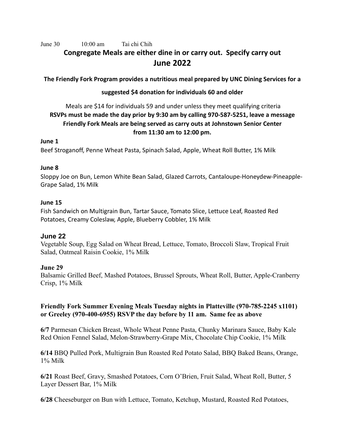June 30 10:00 am Tai chi Chih

# **Congregate Meals are either dine in or carry out. Specify carry out June 2022**

**The Friendly Fork Program provides a nutritious meal prepared by UNC Dining Services for a** 

# **suggested \$4 donation for individuals 60 and older**

# Meals are \$14 for individuals 59 and under unless they meet qualifying criteria **RSVPs must be made the day prior by 9:30 am by calling 970-587-5251, leave a message Friendly Fork Meals are being served as carry outs at Johnstown Senior Center from 11:30 am to 12:00 pm.**

#### **June 1**

Beef Stroganoff, Penne Wheat Pasta, Spinach Salad, Apple, Wheat Roll Butter, 1% Milk

## **June 8**

Sloppy Joe on Bun, Lemon White Bean Salad, Glazed Carrots, Cantaloupe-Honeydew-Pineapple-Grape Salad, 1% Milk

## **June 15**

Fish Sandwich on Multigrain Bun, Tartar Sauce, Tomato Slice, Lettuce Leaf, Roasted Red Potatoes, Creamy Coleslaw, Apple, Blueberry Cobbler, 1% Milk

# **June 22**

Vegetable Soup, Egg Salad on Wheat Bread, Lettuce, Tomato, Broccoli Slaw, Tropical Fruit Salad, Oatmeal Raisin Cookie, 1% Milk

## **June 29**

Balsamic Grilled Beef, Mashed Potatoes, Brussel Sprouts, Wheat Roll, Butter, Apple-Cranberry Crisp, 1% Milk

# **Friendly Fork Summer Evening Meals Tuesday nights in Platteville (970-785-2245 x1101) or Greeley (970-400-6955) RSVP the day before by 11 am. Same fee as above**

**6/7** Parmesan Chicken Breast, Whole Wheat Penne Pasta, Chunky Marinara Sauce, Baby Kale Red Onion Fennel Salad, Melon-Strawberry-Grape Mix, Chocolate Chip Cookie, 1% Milk

**6/14** BBQ Pulled Pork, Multigrain Bun Roasted Red Potato Salad, BBQ Baked Beans, Orange, 1% Milk

**6/21** Roast Beef, Gravy, Smashed Potatoes, Corn O'Brien, Fruit Salad, Wheat Roll, Butter, 5 Layer Dessert Bar, 1% Milk

**6/28** Cheeseburger on Bun with Lettuce, Tomato, Ketchup, Mustard, Roasted Red Potatoes,